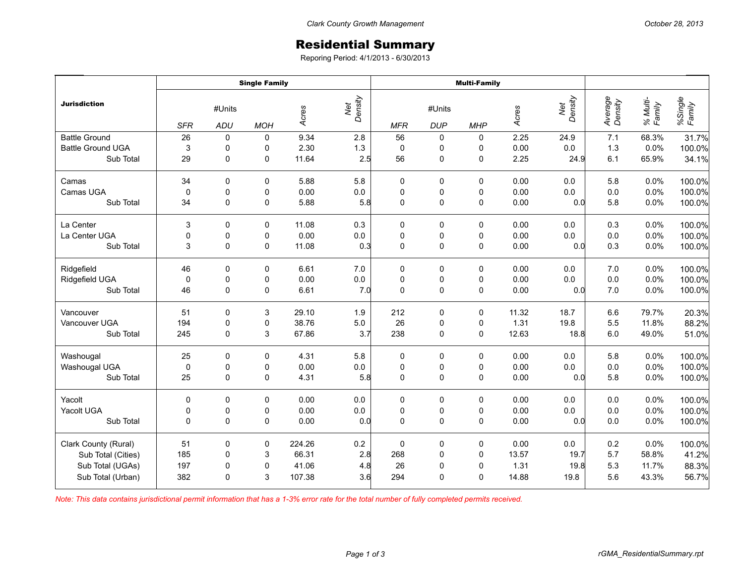## Residential Summary

Reporing Period: 4/1/2013 - 6/30/2013

|                          | <b>Single Family</b> |               |             |        |                | <b>Multi-Family</b> |                      |             |       |                |                    |                    |                   |
|--------------------------|----------------------|---------------|-------------|--------|----------------|---------------------|----------------------|-------------|-------|----------------|--------------------|--------------------|-------------------|
| <b>Jurisdiction</b>      | <b>SFR</b>           | #Units<br>ADU | <b>MOH</b>  | Acres  | Net<br>Density | <b>MFR</b>          | #Units<br><b>DUP</b> | <b>MHP</b>  | Acres | Net<br>Density | Average<br>Density | % Multi-<br>Family | %Single<br>Family |
| <b>Battle Ground</b>     | 26                   | 0             | 0           | 9.34   | 2.8            | 56                  | 0                    | 0           | 2.25  | 24.9           | 7.1                | 68.3%              | 31.7%             |
| <b>Battle Ground UGA</b> | 3                    | 0             | 0           | 2.30   | 1.3            | $\mathbf 0$         | 0                    | 0           | 0.00  | 0.0            | 1.3                | 0.0%               | 100.0%            |
| Sub Total                | 29                   | $\mathbf 0$   | 0           | 11.64  | 2.5            | 56                  | 0                    | 0           | 2.25  | 24.9           | 6.1                | 65.9%              | 34.1%             |
| Camas                    | 34                   | $\Omega$      | 0           | 5.88   | 5.8            | 0                   | 0                    | 0           | 0.00  | 0.0            | 5.8                | 0.0%               | 100.0%            |
| Camas UGA                | $\mathbf 0$          | 0             | 0           | 0.00   | 0.0            | $\mathbf 0$         | 0                    | 0           | 0.00  | 0.0            | 0.0                | 0.0%               | 100.0%            |
| Sub Total                | 34                   | 0             | 0           | 5.88   | 5.8            | $\mathbf 0$         | $\mathsf 0$          | $\mathsf 0$ | 0.00  | 0.0            | 5.8                | 0.0%               | 100.0%            |
| La Center                | 3                    | $\mathbf 0$   | $\mathbf 0$ | 11.08  | 0.3            | 0                   | 0                    | $\mathbf 0$ | 0.00  | 0.0            | 0.3                | 0.0%               | 100.0%            |
| La Center UGA            | 0                    | 0             | 0           | 0.00   | $0.0\,$        | $\pmb{0}$           | 0                    | 0           | 0.00  | 0.0            | 0.0                | 0.0%               | 100.0%            |
| Sub Total                | 3                    | $\Omega$      | 0           | 11.08  | 0.3            | $\mathbf 0$         | $\mathsf 0$          | $\pmb{0}$   | 0.00  | 0.0            | 0.3                | 0.0%               | 100.0%            |
| Ridgefield               | 46                   | 0             | 0           | 6.61   | 7.0            | $\pmb{0}$           | 0                    | 0           | 0.00  | 0.0            | 7.0                | 0.0%               | 100.0%            |
| Ridgefield UGA           | $\mathbf 0$          | $\pmb{0}$     | 0           | 0.00   | $0.0\,$        | $\pmb{0}$           | $\pmb{0}$            | $\pmb{0}$   | 0.00  | 0.0            | 0.0                | 0.0%               | 100.0%            |
| Sub Total                | 46                   | 0             | $\mathbf 0$ | 6.61   | 7.0            | $\mathbf 0$         | $\pmb{0}$            | $\pmb{0}$   | 0.00  | 0.0            | 7.0                | 0.0%               | 100.0%            |
| Vancouver                | 51                   | 0             | 3           | 29.10  | 1.9            | 212                 | 0                    | 0           | 11.32 | 18.7           | 6.6                | 79.7%              | 20.3%             |
| Vancouver UGA            | 194                  | 0             | 0           | 38.76  | 5.0            | 26                  | $\pmb{0}$            | $\pmb{0}$   | 1.31  | 19.8           | 5.5                | 11.8%              | 88.2%             |
| Sub Total                | 245                  | 0             | 3           | 67.86  | 3.7            | 238                 | $\mathsf 0$          | $\mathsf 0$ | 12.63 | 18.8           | 6.0                | 49.0%              | 51.0%             |
| Washougal                | 25                   | 0             | 0           | 4.31   | 5.8            | 0                   | 0                    | 0           | 0.00  | 0.0            | 5.8                | 0.0%               | 100.0%            |
| Washougal UGA            | $\mathbf 0$          | 0             | 0           | 0.00   | $0.0\,$        | $\pmb{0}$           | $\pmb{0}$            | $\pmb{0}$   | 0.00  | 0.0            | 0.0                | 0.0%               | 100.0%            |
| Sub Total                | 25                   | $\mathbf 0$   | $\mathbf 0$ | 4.31   | 5.8            | $\mathbf 0$         | $\pmb{0}$            | $\pmb{0}$   | 0.00  | 0.0            | 5.8                | 0.0%               | 100.0%            |
| Yacolt                   | 0                    | 0             | 0           | 0.00   | $0.0\,$        | $\pmb{0}$           | 0                    | 0           | 0.00  | 0.0            | 0.0                | 0.0%               | 100.0%            |
| Yacolt UGA               | $\pmb{0}$            | $\pmb{0}$     | $\pmb{0}$   | 0.00   | $0.0\,$        | $\pmb{0}$           | $\pmb{0}$            | $\pmb{0}$   | 0.00  | 0.0            | 0.0                | 0.0%               | 100.0%            |
| Sub Total                | $\Omega$             | $\Omega$      | $\mathbf 0$ | 0.00   | 0.0            | $\mathbf 0$         | $\pmb{0}$            | $\pmb{0}$   | 0.00  | 0.0            | 0.0                | 0.0%               | 100.0%            |
| Clark County (Rural)     | 51                   | 0             | 0           | 224.26 | $0.2\,$        | $\mathbf 0$         | 0                    | 0           | 0.00  | 0.0            | 0.2                | 0.0%               | 100.0%            |
| Sub Total (Cities)       | 185                  | 0             | 3           | 66.31  | 2.8            | 268                 | $\pmb{0}$            | $\pmb{0}$   | 13.57 | 19.7           | 5.7                | 58.8%              | 41.2%             |
| Sub Total (UGAs)         | 197                  | 0             | 0           | 41.06  | 4.8            | 26                  | $\pmb{0}$            | $\pmb{0}$   | 1.31  | 19.8           | 5.3                | 11.7%              | 88.3%             |
| Sub Total (Urban)        | 382                  | $\Omega$      | 3           | 107.38 | 3.6            | 294                 | $\mathbf 0$          | $\mathbf 0$ | 14.88 | 19.8           | 5.6                | 43.3%              | 56.7%             |

*Note: This data contains jurisdictional permit information that has a 1-3% error rate for the total number of fully completed permits received.*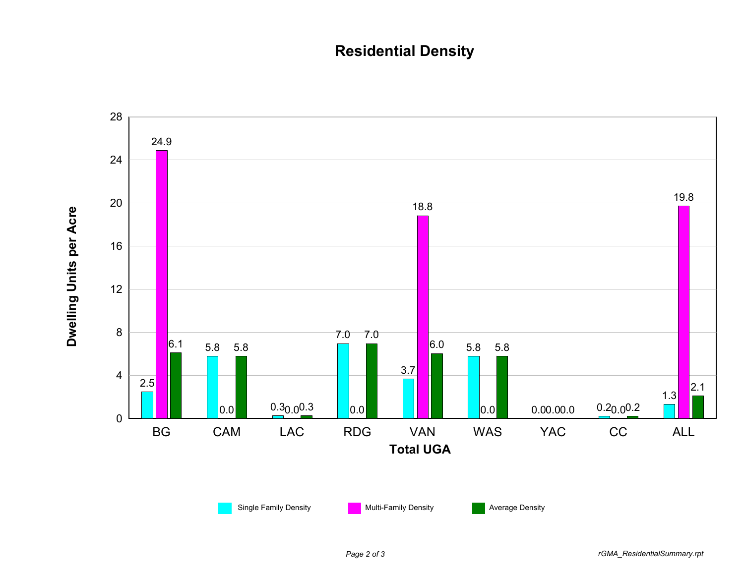## **Residential Density**